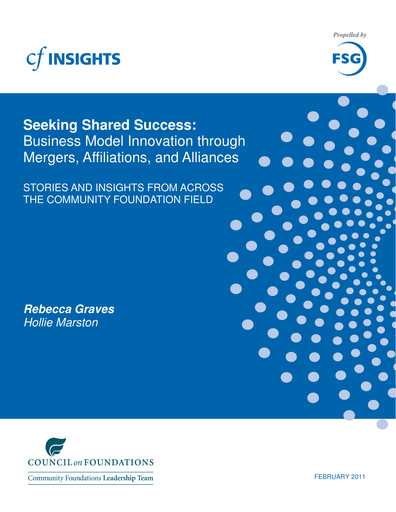

*Propelled by* 



## **Seeking Shared Success:**  Business Model Innovation through Mergers, Affiliations, and Alliances

STORIES AND INSIGHTS FROM ACROSS THE COMMUNITY FOUNDATION FIELD

**Rebecca Graves**  Hollie Marston



Community Foundations Leadership Team

FEBRUARY 2011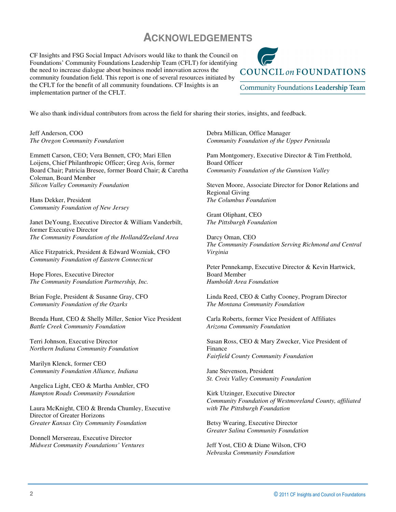## **ACKNOWLEDGEMENTS**

CF Insights and FSG Social Impact Advisors would like to thank the Council on Foundations' Community Foundations Leadership Team (CFLT) for identifying the need to increase dialogue about business model innovation across the community foundation field. This report is one of several resources initiated by the CFLT for the benefit of all community foundations. CF Insights is an implementation partner of the CFLT.



We also thank individual contributors from across the field for sharing their stories, insights, and feedback.

Jeff Anderson, COO *The Oregon Community Foundation* 

Emmett Carson, CEO; Vera Bennett, CFO; Mari Ellen Loijens, Chief Philanthropic Officer; Greg Avis, former Board Chair; Patricia Bresee, former Board Chair; & Caretha Coleman, Board Member *Silicon Valley Community Foundation* 

Hans Dekker, President *Community Foundation of New Jersey* 

Janet DeYoung, Executive Director & William Vanderbilt, former Executive Director *The Community Foundation of the Holland/Zeeland Area* 

Alice Fitzpatrick, President & Edward Wozniak, CFO *Community Foundation of Eastern Connecticut* 

Hope Flores, Executive Director *The Community Foundation Partnership, Inc.* 

Brian Fogle, President & Susanne Gray, CFO *Community Foundation of the Ozarks* 

Brenda Hunt, CEO & Shelly Miller, Senior Vice President *Battle Creek Community Foundation* 

Terri Johnson, Executive Director *Northern Indiana Community Foundation* 

Marilyn Klenck, former CEO *Community Foundation Alliance, Indiana* 

Angelica Light, CEO & Martha Ambler, CFO *Hampton Roads Community Foundation* 

Laura McKnight, CEO & Brenda Chumley, Executive Director of Greater Horizons *Greater Kansas City Community Foundation* 

Donnell Mersereau, Executive Director *Midwest Community Foundations' Ventures*  Debra Millican, Office Manager *Community Foundation of the Upper Peninsula* 

Pam Montgomery, Executive Director & Tim Fretthold, Board Officer *Community Foundation of the Gunnison Valley* 

Steven Moore, Associate Director for Donor Relations and Regional Giving *The Columbus Foundation* 

Grant Oliphant, CEO *The Pittsburgh Foundation* 

Darcy Oman, CEO *The Community Foundation Serving Richmond and Central Virginia* 

Peter Pennekamp, Executive Director & Kevin Hartwick, Board Member *Humboldt Area Foundation* 

Linda Reed, CEO & Cathy Cooney, Program Director *The Montana Community Foundation* 

Carla Roberts, former Vice President of Affiliates *Arizona Community Foundation* 

Susan Ross, CEO & Mary Zwecker, Vice President of Finance *Fairfield County Community Foundation* 

Jane Stevenson, President *St. Croix Valley Community Foundation* 

Kirk Utzinger, Executive Director *Community Foundation of Westmoreland County, affiliated with The Pittsburgh Foundation* 

Betsy Wearing, Executive Director *Greater Salina Community Foundation* 

Jeff Yost, CEO & Diane Wilson, CFO *Nebraska Community Foundation*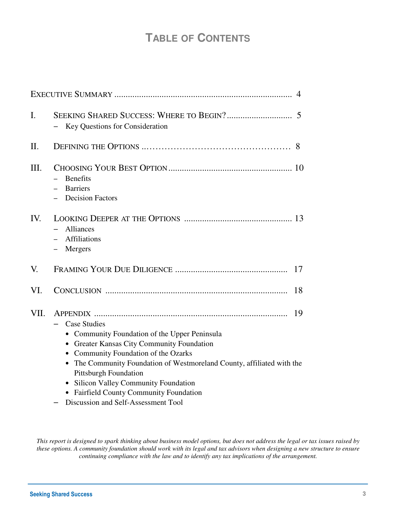## **TABLE OF CONTENTS**

|         |                                                                                                                                                                                                                                                                                                                                                                                               | 4  |
|---------|-----------------------------------------------------------------------------------------------------------------------------------------------------------------------------------------------------------------------------------------------------------------------------------------------------------------------------------------------------------------------------------------------|----|
| I.      | Key Questions for Consideration                                                                                                                                                                                                                                                                                                                                                               |    |
| $\Pi$ . |                                                                                                                                                                                                                                                                                                                                                                                               | 8  |
| Ш.      | <b>Benefits</b><br><b>Barriers</b><br><b>Decision Factors</b>                                                                                                                                                                                                                                                                                                                                 |    |
| IV.     | <b>Alliances</b><br><b>Affiliations</b><br>Mergers<br>$\qquad \qquad -$                                                                                                                                                                                                                                                                                                                       |    |
| V.      |                                                                                                                                                                                                                                                                                                                                                                                               | 17 |
| VI.     |                                                                                                                                                                                                                                                                                                                                                                                               | 18 |
| VII.    | <b>Case Studies</b><br>• Community Foundation of the Upper Peninsula<br><b>Greater Kansas City Community Foundation</b><br>Community Foundation of the Ozarks<br>The Community Foundation of Westmoreland County, affiliated with the<br>$\bullet$<br><b>Pittsburgh Foundation</b><br><b>Silicon Valley Community Foundation</b><br><b>Fairfield County Community Foundation</b><br>$\bullet$ | 19 |
|         | Discussion and Self-Assessment Tool                                                                                                                                                                                                                                                                                                                                                           |    |

*This report is designed to spark thinking about business model options, but does not address the legal or tax issues raised by these options. A community foundation should work with its legal and tax advisors when designing a new structure to ensure continuing compliance with the law and to identify any tax implications of the arrangement.*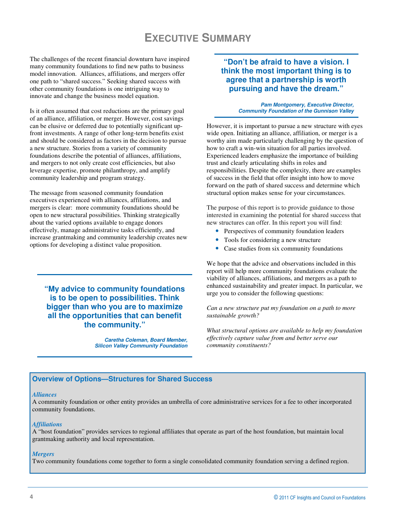## **EXECUTIVE SUMMARY**

The challenges of the recent financial downturn have inspired many community foundations to find new paths to business model innovation. Alliances, affiliations, and mergers offer one path to "shared success." Seeking shared success with other community foundations is one intriguing way to innovate and change the business model equation.

Is it often assumed that cost reductions are the primary goal of an alliance, affiliation, or merger. However, cost savings can be elusive or deferred due to potentially significant upfront investments. A range of other long-term benefits exist and should be considered as factors in the decision to pursue a new structure. Stories from a variety of community foundations describe the potential of alliances, affiliations, and mergers to not only create cost efficiencies, but also leverage expertise, promote philanthropy, and amplify community leadership and program strategy.

The message from seasoned community foundation executives experienced with alliances, affiliations, and mergers is clear: more community foundations should be open to new structural possibilities. Thinking strategically about the varied options available to engage donors effectively, manage administrative tasks efficiently, and increase grantmaking and community leadership creates new options for developing a distinct value proposition.

**"My advice to community foundations is to be open to possibilities. Think bigger than who you are to maximize all the opportunities that can benefit the community."** 

> **Caretha Coleman, Board Member, Silicon Valley Community Foundation**

#### **"Don't be afraid to have a vision. I think the most important thing is to agree that a partnership is worth pursuing and have the dream."**

**Pam Montgomery, Executive Director, Community Foundation of the Gunnison Valley**

However, it is important to pursue a new structure with eyes wide open. Initiating an alliance, affiliation, or merger is a worthy aim made particularly challenging by the question of how to craft a win-win situation for all parties involved. Experienced leaders emphasize the importance of building trust and clearly articulating shifts in roles and responsibilities. Despite the complexity, there are examples of success in the field that offer insight into how to move forward on the path of shared success and determine which structural option makes sense for your circumstances.

The purpose of this report is to provide guidance to those interested in examining the potential for shared success that new structures can offer. In this report you will find:

- Perspectives of community foundation leaders
- Tools for considering a new structure
- Case studies from six community foundations

We hope that the advice and observations included in this report will help more community foundations evaluate the viability of alliances, affiliations, and mergers as a path to enhanced sustainability and greater impact. In particular, we urge you to consider the following questions:

*Can a new structure put my foundation on a path to more sustainable growth?* 

*What structural options are available to help my foundation effectively capture value from and better serve our community constituents?*

#### **Overview of Options—Structures for Shared Success**

#### *Alliances*

A community foundation or other entity provides an umbrella of core administrative services for a fee to other incorporated community foundations.

#### *Affiliations*

A "host foundation" provides services to regional affiliates that operate as part of the host foundation, but maintain local grantmaking authority and local representation.

#### *Mergers*

Two community foundations come together to form a single consolidated community foundation serving a defined region.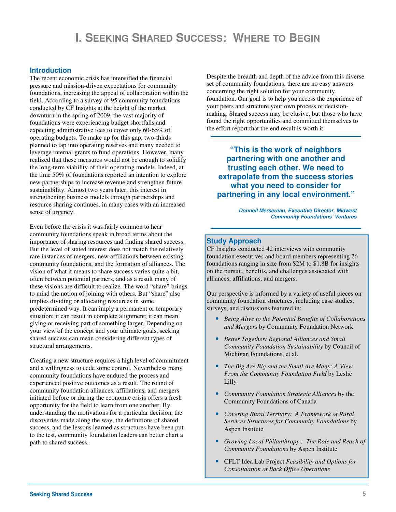## **I. SEEKING SHARED SUCCESS: WHERE TO BEGIN**

#### **Introduction**

The recent economic crisis has intensified the financial pressure and mission-driven expectations for community foundations, increasing the appeal of collaboration within the field. According to a survey of 95 community foundations conducted by CF Insights at the height of the market downturn in the spring of 2009, the vast majority of foundations were experiencing budget shortfalls and expecting administrative fees to cover only 60-65% of operating budgets. To make up for this gap, two-thirds planned to tap into operating reserves and many needed to leverage internal grants to fund operations. However, many realized that these measures would not be enough to solidify the long-term viability of their operating models. Indeed, at the time 50% of foundations reported an intention to explore new partnerships to increase revenue and strengthen future sustainability. Almost two years later, this interest in strengthening business models through partnerships and resource sharing continues, in many cases with an increased sense of urgency.

Even before the crisis it was fairly common to hear community foundations speak in broad terms about the importance of sharing resources and finding shared success. But the level of stated interest does not match the relatively rare instances of mergers, new affiliations between existing community foundations, and the formation of alliances. The vision of what it means to share success varies quite a bit, often between potential partners, and as a result many of these visions are difficult to realize. The word "share" brings to mind the notion of joining with others. But "share" also implies dividing or allocating resources in some predetermined way. It can imply a permanent or temporary situation; it can result in complete alignment; it can mean giving or receiving part of something larger. Depending on your view of the concept and your ultimate goals, seeking shared success can mean considering different types of structural arrangements.

Creating a new structure requires a high level of commitment and a willingness to cede some control. Nevertheless many community foundations have endured the process and experienced positive outcomes as a result. The round of community foundation alliances, affiliations, and mergers initiated before or during the economic crisis offers a fresh opportunity for the field to learn from one another. By understanding the motivations for a particular decision, the discoveries made along the way, the definitions of shared success, and the lessons learned as structures have been put to the test, community foundation leaders can better chart a path to shared success.

Despite the breadth and depth of the advice from this diverse set of community foundations, there are no easy answers concerning the right solution for your community foundation. Our goal is to help you access the experience of your peers and structure your own process of decisionmaking. Shared success may be elusive, but those who have found the right opportunities and committed themselves to the effort report that the end result is worth it.

**"This is the work of neighbors partnering with one another and trusting each other. We need to extrapolate from the success stories what you need to consider for partnering in any local environment."** 

> **Donnell Mersereau, Executive Director, Midwest Community Foundations' Ventures**

#### **Study Approach**

CF Insights conducted 42 interviews with community foundation executives and board members representing 26 foundations ranging in size from \$2M to \$1.8B for insights on the pursuit, benefits, and challenges associated with alliances, affiliations, and mergers.

Our perspective is informed by a variety of useful pieces on community foundation structures, including case studies, surveys, and discussions featured in:

- *Being Alive to the Potential Benefits of Collaborations and Mergers* by Community Foundation Network
- *Better Together: Regional Alliances and Small Community Foundation Sustainability* by Council of Michigan Foundations, et al.
- *The Big Are Big and the Small Are Many: A View From the Community Foundation Field* by Leslie Lilly
- *Community Foundation Strategic Alliances* by the Community Foundations of Canada
- *Covering Rural Territory: A Framework of Rural Services Structures for Community Foundations* by Aspen Institute
- *Growing Local Philanthropy : The Role and Reach of Community Foundations* by Aspen Institute
- CFLT Idea Lab Project *Feasibility and Options for Consolidation of Back Office Operations*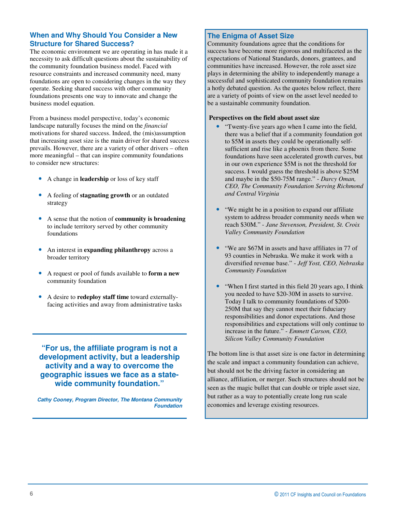#### **When and Why Should You Consider a New Structure for Shared Success?**

The economic environment we are operating in has made it a necessity to ask difficult questions about the sustainability of the community foundation business model. Faced with resource constraints and increased community need, many foundations are open to considering changes in the way they operate. Seeking shared success with other community foundations presents one way to innovate and change the business model equation.

From a business model perspective, today's economic landscape naturally focuses the mind on the *financial* motivations for shared success. Indeed, the (mis)assumption that increasing asset size is the main driver for shared success prevails. However, there are a variety of other drivers – often more meaningful – that can inspire community foundations to consider new structures:

- A change in **leadership** or loss of key staff
- A feeling of **stagnating growth** or an outdated strategy
- A sense that the notion of **community is broadening**  to include territory served by other community foundations
- An interest in **expanding philanthropy** across a broader territory
- A request or pool of funds available to **form a new**  community foundation
- A desire to **redeploy staff time** toward externallyfacing activities and away from administrative tasks

**"For us, the affiliate program is not a development activity, but a leadership activity and a way to overcome the geographic issues we face as a statewide community foundation."** 

**Cathy Cooney, Program Director, The Montana Community Foundation** 

#### **The Enigma of Asset Size**

Community foundations agree that the conditions for success have become more rigorous and multifaceted as the expectations of National Standards, donors, grantees, and communities have increased. However, the role asset size plays in determining the ability to independently manage a successful and sophisticated community foundation remains a hotly debated question. As the quotes below reflect, there are a variety of points of view on the asset level needed to be a sustainable community foundation.

#### **Perspectives on the field about asset size**

- "Twenty-five years ago when I came into the field, there was a belief that if a community foundation got to \$5M in assets they could be operationally selfsufficient and rise like a phoenix from there. Some foundations have seen accelerated growth curves, but in our own experience \$5M is not the threshold for success. I would guess the threshold is above \$25M and maybe in the \$50-75M range." - *Darcy Oman, CEO, The Community Foundation Serving Richmond and Central Virginia*
- "We might be in a position to expand our affiliate system to address broader community needs when we reach \$30M." - *Jane Stevenson, President, St. Croix Valley Community Foundation*
- "We are \$67M in assets and have affiliates in 77 of 93 counties in Nebraska. We make it work with a diversified revenue base." - *Jeff Yost, CEO, Nebraska Community Foundation*
- "When I first started in this field 20 years ago, I think you needed to have \$20-30M in assets to survive. Today I talk to community foundations of \$200- 250M that say they cannot meet their fiduciary responsibilities and donor expectations. And those responsibilities and expectations will only continue to increase in the future." - *Emmett Carson, CEO, Silicon Valley Community Foundation*

The bottom line is that asset size is one factor in determining the scale and impact a community foundation can achieve, but should not be the driving factor in considering an alliance, affiliation, or merger. Such structures should not be seen as the magic bullet that can double or triple asset size, but rather as a way to potentially create long run scale economies and leverage existing resources.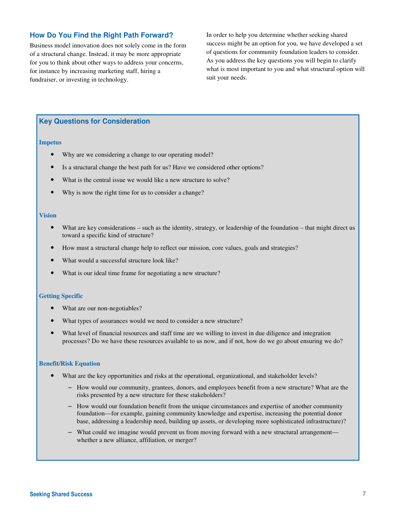#### **How Do You Find the Right Path Forward?**

Business model innovation does not solely come in the form of a structural change. Instead, it may be more appropriate for you to think about other ways to address your concerns, for instance by increasing marketing staff, hiring a fundraiser, or investing in technology.

In order to help you determine whether seeking shared success might be an option for you, we have developed a set of questions for community foundation leaders to consider. As you address the key questions you will begin to clarify what is most important to you and what structural option will suit your needs.

#### **Key Questions for Consideration**

#### **Impetus**

- Why are we considering a change to our operating model?
- Is a structural change the best path for us? Have we considered other options?
- What is the central issue we would like a new structure to solve?
- Why is now the right time for us to consider a change?

#### **Vision**

- What are key considerations such as the identity, strategy, or leadership of the foundation that might direct us toward a specific kind of structure?
- How must a structural change help to reflect our mission, core values, goals and strategies?
- What would a successful structure look like?
- What is our ideal time frame for negotiating a new structure?

#### **Getting Specific**

- What are our non-negotiables?
- What types of assurances would we need to consider a new structure?
- What level of financial resources and staff time are we willing to invest in due diligence and integration processes? Do we have these resources available to us now, and if not, how do we go about ensuring we do?

#### **Benefit/Risk Equation**

- What are the key opportunities and risks at the operational, organizational, and stakeholder levels?
	- How would our community, grantees, donors, and employees benefit from a new structure? What are the risks presented by a new structure for these stakeholders?
	- How would our foundation benefit from the unique circumstances and expertise of another community foundation—for example, gaining community knowledge and expertise, increasing the potential donor base, addressing a leadership need, building up assets, or developing more sophisticated infrastructure)?
	- What could we imagine would prevent us from moving forward with a new structural arrangement whether a new alliance, affiliation, or merger?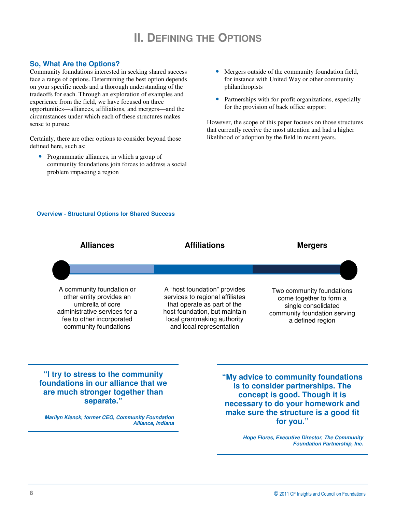## **II. DEFINING THE OPTIONS**

#### **So, What Are the Options?**

Community foundations interested in seeking shared success face a range of options. Determining the best option depends on your specific needs and a thorough understanding of the tradeoffs for each. Through an exploration of examples and experience from the field, we have focused on three opportunities—alliances, affiliations, and mergers—and the circumstances under which each of these structures makes sense to pursue.

Certainly, there are other options to consider beyond those defined here, such as:

• Programmatic alliances, in which a group of community foundations join forces to address a social problem impacting a region

- Mergers outside of the community foundation field, for instance with United Way or other community philanthropists
- Partnerships with for-profit organizations, especially for the provision of back office support

However, the scope of this paper focuses on those structures that currently receive the most attention and had a higher likelihood of adoption by the field in recent years.

#### **Overview - Structural Options for Shared Success**



**Marilyn Klenck, former CEO, Community Foundation Alliance, Indiana**  **make sure the structure is a good fit for you."** 

> **Hope Flores, Executive Director, The Community Foundation Partnership, Inc.**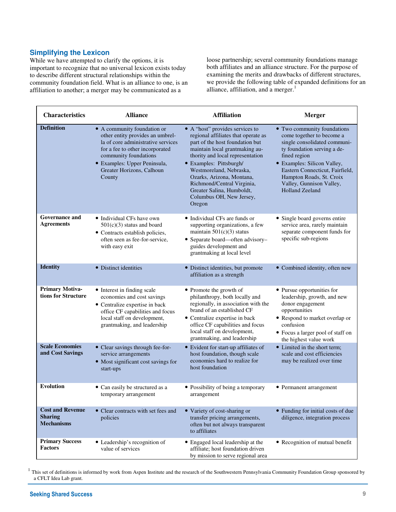#### **Simplifying the Lexicon**

While we have attempted to clarify the options, it is important to recognize that no universal lexicon exists today to describe different structural relationships within the community foundation field. What is an alliance to one, is an affiliation to another; a merger may be communicated as a

loose partnership; several community foundations manage both affiliates and an alliance structure. For the purpose of examining the merits and drawbacks of different structures, we provide the following table of expanded definitions for an alliance, affiliation, and a merger. $<sup>1</sup>$ </sup>

| <b>Characteristics</b>                                         | <b>Alliance</b>                                                                                                                                                                                                                          | <b>Affiliation</b>                                                                                                                                                                                                                                                                                                                                                  | <b>Merger</b>                                                                                                                                                                                                                                                                               |
|----------------------------------------------------------------|------------------------------------------------------------------------------------------------------------------------------------------------------------------------------------------------------------------------------------------|---------------------------------------------------------------------------------------------------------------------------------------------------------------------------------------------------------------------------------------------------------------------------------------------------------------------------------------------------------------------|---------------------------------------------------------------------------------------------------------------------------------------------------------------------------------------------------------------------------------------------------------------------------------------------|
| <b>Definition</b>                                              | • A community foundation or<br>other entity provides an umbrel-<br>la of core administrative services<br>for a fee to other incorporated<br>community foundations<br>· Examples: Upper Peninsula,<br>Greater Horizons, Calhoun<br>County | • A "host" provides services to<br>regional affiliates that operate as<br>part of the host foundation but<br>maintain local grantmaking au-<br>thority and local representation<br>• Examples: Pittsburgh/<br>Westmoreland, Nebraska,<br>Ozarks, Arizona, Montana,<br>Richmond/Central Virginia,<br>Greater Salina, Humboldt,<br>Columbus OH, New Jersey,<br>Oregon | • Two community foundations<br>come together to become a<br>single consolidated communi-<br>ty foundation serving a de-<br>fined region<br>• Examples: Silicon Valley,<br>Eastern Connecticut, Fairfield,<br>Hampton Roads, St. Croix<br>Valley, Gunnison Valley,<br><b>Holland Zeeland</b> |
| <b>Governance and</b><br><b>Agreements</b>                     | • Individual CFs have own<br>$501(c)(3)$ status and board<br>• Contracts establish policies,<br>often seen as fee-for-service,<br>with easy exit                                                                                         | • Individual CFs are funds or<br>supporting organizations, a few<br>maintain $501(c)(3)$ status<br>• Separate board—often advisory-<br>guides development and<br>grantmaking at local level                                                                                                                                                                         | • Single board governs entire<br>service area, rarely maintain<br>separate component funds for<br>specific sub-regions                                                                                                                                                                      |
| <b>Identity</b>                                                | • Distinct identities                                                                                                                                                                                                                    | • Distinct identities, but promote<br>affiliation as a strength                                                                                                                                                                                                                                                                                                     | • Combined identity, often new                                                                                                                                                                                                                                                              |
| <b>Primary Motiva-</b><br>tions for Structure                  | • Interest in finding scale<br>economies and cost savings<br>• Centralize expertise in back<br>office CF capabilities and focus<br>local staff on development,<br>grantmaking, and leadership                                            | • Promote the growth of<br>philanthropy, both locally and<br>regionally, in association with the<br>brand of an established CF<br>• Centralize expertise in back<br>office CF capabilities and focus<br>local staff on development,<br>grantmaking, and leadership                                                                                                  | • Pursue opportunities for<br>leadership, growth, and new<br>donor engagement<br>opportunities<br>• Respond to market overlap or<br>confusion<br>• Focus a larger pool of staff on<br>the highest value work                                                                                |
| <b>Scale Economies</b><br>and Cost Savings                     | • Clear savings through fee-for-<br>service arrangements<br>• Most significant cost savings for<br>start-ups                                                                                                                             | • Evident for start-up affiliates of<br>host foundation, though scale<br>economies hard to realize for<br>host foundation                                                                                                                                                                                                                                           | • Limited in the short term;<br>scale and cost efficiencies<br>may be realized over time                                                                                                                                                                                                    |
| <b>Evolution</b>                                               | • Can easily be structured as a<br>temporary arrangement                                                                                                                                                                                 | • Possibility of being a temporary<br>arrangement                                                                                                                                                                                                                                                                                                                   | • Permanent arrangement                                                                                                                                                                                                                                                                     |
| <b>Cost and Revenue</b><br><b>Sharing</b><br><b>Mechanisms</b> | • Clear contracts with set fees and<br>policies                                                                                                                                                                                          | • Variety of cost-sharing or<br>transfer pricing arrangements,<br>often but not always transparent<br>to affiliates                                                                                                                                                                                                                                                 | • Funding for initial costs of due<br>diligence, integration process                                                                                                                                                                                                                        |
| <b>Primary Success</b><br>Factors                              | • Leadership's recognition of<br>value of services                                                                                                                                                                                       | • Engaged local leadership at the<br>affiliate; host foundation driven<br>by mission to serve regional area                                                                                                                                                                                                                                                         | • Recognition of mutual benefit                                                                                                                                                                                                                                                             |

 $<sup>1</sup>$  This set of definitions is informed by work from Aspen Institute and the research of the Southwestern Pennsylvania Community Foundation Group sponsored by</sup> a CFLT Idea Lab grant.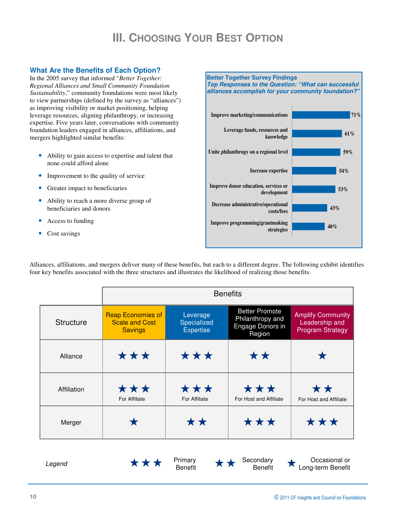## **III. CHOOSING YOUR BEST OPTION**

#### **What Are the Benefits of Each Option?**

In the 2005 survey that informed "*Better Together: Regional Alliances and Small Community Foundation Sustainability*," community foundations were most likely to view partnerships (defined by the survey as "alliances") as improving visibility or market positioning, helping leverage resources, aligning philanthropy, or increasing expertise. Five years later, conversations with community foundation leaders engaged in alliances, affiliations, and mergers highlighted similar benefits:

- Ability to gain access to expertise and talent that none could afford alone
- Improvement to the quality of service
- Greater impact to beneficiaries
- Ability to reach a more diverse group of beneficiaries and donors
- Access to funding
- Cost savings

**Better Together Survey Findings Top Responses to the Question: "What can successful alliances accomplish for your community foundation?" 40% 43% 53% 54% 59% 61% 71% Improve programming/grantmaking strategies Decrease administrative/operational costs/fees Improve donor education, services or development Increase expertise Unite philanthropy on a regional level Leverage funds, resources and knowledge Improve marketing/communications**

Alliances, affiliations, and mergers deliver many of these benefits, but each to a different degree. The following exhibit identifies four key benefits associated with the three structures and illustrates the likelihood of realizing those benefits.

|                  | <b>Benefits</b>                                                     |                                             |                                                                         |                                                                       |  |  |  |  |  |
|------------------|---------------------------------------------------------------------|---------------------------------------------|-------------------------------------------------------------------------|-----------------------------------------------------------------------|--|--|--|--|--|
| <b>Structure</b> | <b>Reap Economies of</b><br><b>Scale and Cost</b><br><b>Savings</b> | Leverage<br>Specialized<br><b>Expertise</b> | <b>Better Promote</b><br>Philanthropy and<br>Engage Donors in<br>Region | <b>Amplify Community</b><br>Leadership and<br><b>Program Strategy</b> |  |  |  |  |  |
| Alliance         | ***                                                                 | ***                                         | **                                                                      |                                                                       |  |  |  |  |  |
| Affiliation      | ***<br>For Affiliate                                                | ***<br>For Affiliate                        | ***<br>For Host and Affiliate                                           | **<br>For Host and Affiliate                                          |  |  |  |  |  |
| Merger           |                                                                     | **                                          | ***                                                                     | ***                                                                   |  |  |  |  |  |
|                  |                                                                     |                                             |                                                                         |                                                                       |  |  |  |  |  |





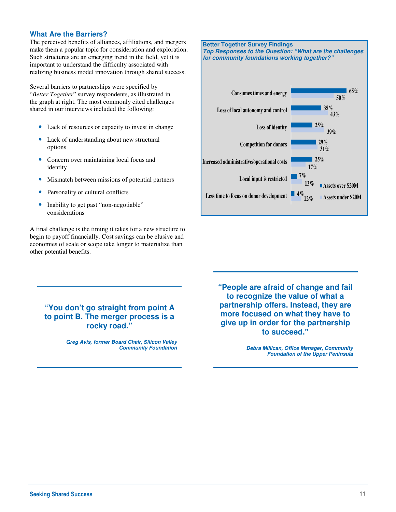#### **What Are the Barriers?**

The perceived benefits of alliances, affiliations, and mergers make them a popular topic for consideration and exploration. Such structures are an emerging trend in the field, yet it is important to understand the difficulty associated with realizing business model innovation through shared success.

Several barriers to partnerships were specified by "*Better Together*" survey respondents, as illustrated in the graph at right. The most commonly cited challenges shared in our interviews included the following:

- Lack of resources or capacity to invest in change
- Lack of understanding about new structural options
- Concern over maintaining local focus and identity
- Mismatch between missions of potential partners
- Personality or cultural conflicts
- Inability to get past "non-negotiable" considerations

A final challenge is the timing it takes for a new structure to begin to payoff financially. Cost savings can be elusive and economies of scale or scope take longer to materialize than other potential benefits.



#### **"You don't go straight from point A to point B. The merger process is a rocky road."**

**Greg Avis, former Board Chair, Silicon Valley Community Foundation**  **"People are afraid of change and fail to recognize the value of what a partnership offers. Instead, they are more focused on what they have to give up in order for the partnership to succeed."** 

> **Debra Millican, Office Manager, Community Foundation of the Upper Peninsula**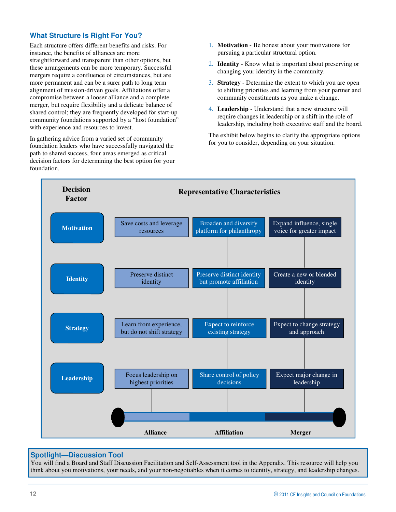#### **What Structure Is Right For You?**

Each structure offers different benefits and risks. For instance, the benefits of alliances are more straightforward and transparent than other options, but these arrangements can be more temporary. Successful mergers require a confluence of circumstances, but are more permanent and can be a surer path to long term alignment of mission-driven goals. Affiliations offer a compromise between a looser alliance and a complete merger, but require flexibility and a delicate balance of shared control; they are frequently developed for start-up community foundations supported by a "host foundation" with experience and resources to invest.

In gathering advice from a varied set of community foundation leaders who have successfully navigated the path to shared success, four areas emerged as critical decision factors for determining the best option for your foundation.

- 1. **Motivation**  Be honest about your motivations for pursuing a particular structural option.
- 2. **Identity**  Know what is important about preserving or changing your identity in the community.
- 3. **Strategy**  Determine the extent to which you are open to shifting priorities and learning from your partner and community constituents as you make a change.
- 4. **Leadership**  Understand that a new structure will require changes in leadership or a shift in the role of leadership, including both executive staff and the board.

The exhibit below begins to clarify the appropriate options for you to consider, depending on your situation.



#### **Spotlight—Discussion Tool**

You will find a Board and Staff Discussion Facilitation and Self-Assessment tool in the Appendix. This resource will help you think about you motivations, your needs, and your non-negotiables when it comes to identity, strategy, and leadership changes.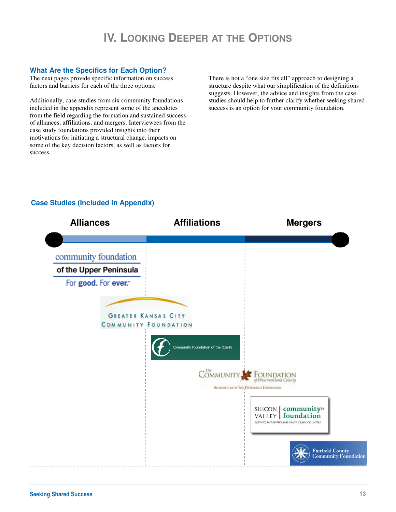## **IV. LOOKING DEEPER AT THE OPTIONS**

#### **What Are the Specifics for Each Option?**

The next pages provide specific information on success factors and barriers for each of the three options.

Additionally, case studies from six community foundations included in the appendix represent some of the anecdotes from the field regarding the formation and sustained success of alliances, affiliations, and mergers. Interviewees from the case study foundations provided insights into their motivations for initiating a structural change, impacts on some of the key decision factors, as well as factors for success.

There is not a "one size fits all" approach to designing a structure despite what our simplification of the definitions suggests. However, the advice and insights from the case studies should help to further clarify whether seeking shared success is an option for your community foundation.



#### **Case Studies (Included in Appendix)**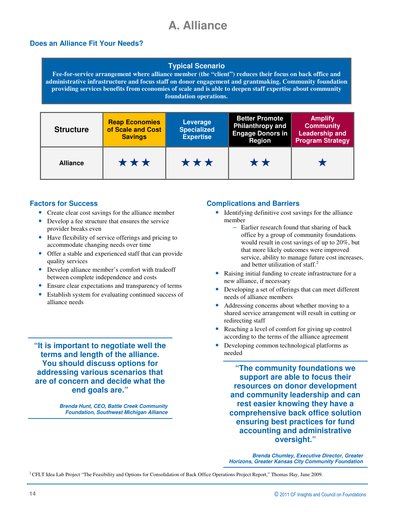## **A. Alliance**

#### **Does an Alliance Fit Your Needs?**

#### **Typical Scenario**

**Fee-for-service arrangement where alliance member (the "client") reduces their focus on back office and administrative infrastructure and focus staff on donor engagement and grantmaking. Community foundation providing services benefits from economies of scale and is able to deepen staff expertise about community foundation operations.** 

| <b>Structure</b> | <b>Reap Economies</b><br>of Scale and Cost<br><b>Savings</b> | Leverage<br><b>Specialized</b><br><b>Expertise</b> | <b>Better Promote</b><br><b>Philanthropy and</b><br><b>Engage Donors in</b><br>Region | <b>Amplify</b><br><b>Community</b><br><b>Leadership and</b><br><b>Program Strategy</b> |
|------------------|--------------------------------------------------------------|----------------------------------------------------|---------------------------------------------------------------------------------------|----------------------------------------------------------------------------------------|
| <b>Alliance</b>  | ***<br>***                                                   |                                                    | **                                                                                    |                                                                                        |

#### **Factors for Success**

- Create clear cost savings for the alliance member
- Develop a fee structure that ensures the service provider breaks even
- Have flexibility of service offerings and pricing to accommodate changing needs over time
- Offer a stable and experienced staff that can provide quality services
- Develop alliance member's comfort with tradeoff between complete independence and costs
- Ensure clear expectations and transparency of terms
- Establish system for evaluating continued success of alliance needs

**"It is important to negotiate well the terms and length of the alliance. You should discuss options for addressing various scenarios that are of concern and decide what the end goals are."** 

> **Brenda Hunt, CEO, Battle Creek Community Foundation, Southwest Michigan Alliance**

#### **Complications and Barriers**

- Identifying definitive cost savings for the alliance member
	- Earlier research found that sharing of back office by a group of community foundations would result in cost savings of up to 20%, but that more likely outcomes were improved service, ability to manage future cost increases, and better utilization of staff. $2$
- Raising initial funding to create infrastructure for a new alliance, if necessary
- Developing a set of offerings that can meet different needs of alliance members
- Addressing concerns about whether moving to a shared service arrangement will result in cutting or redirecting staff
- Reaching a level of comfort for giving up control according to the terms of the alliance agreement
- Developing common technological platforms as needed

**"The community foundations we support are able to focus their resources on donor development and community leadership and can rest easier knowing they have a comprehensive back office solution ensuring best practices for fund accounting and administrative oversight."** 

**Brenda Chumley, Executive Director, Greater Horizons, Greater Kansas City Community Foundation** 

<sup>2</sup> CFLT Idea Lab Project "The Feasibility and Options for Consolidation of Back Office Operations Project Report," Thomas Hay, June 2009.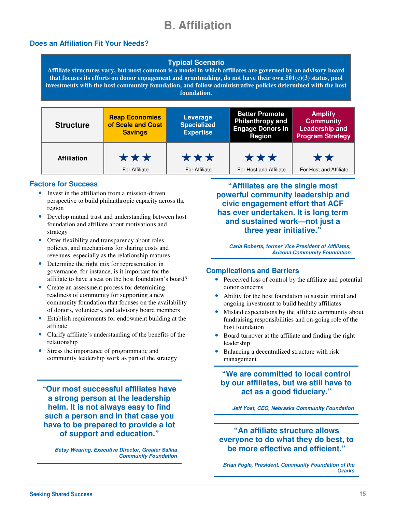## **B. Affiliation**

#### **Does an Affiliation Fit Your Needs?**

#### **Typical Scenario**

**Affiliate structures vary, but most common is a model in which affiliates are governed by an advisory board that focuses its efforts on donor engagement and grantmaking, do not have their own 501(c)(3) status, pool investments with the host community foundation, and follow administrative policies determined with the host foundation.** 

| <b>Structure</b>   | <b>Reap Economies</b><br>of Scale and Cost<br><b>Savings</b> | Leverage<br><b>Specialized</b><br><b>Expertise</b> | <b>Better Promote</b><br><b>Philanthropy and</b><br><b>Engage Donors in</b><br><b>Region</b> | <b>Amplify</b><br><b>Community</b><br><b>Leadership and</b><br><b>Program Strategy</b> |
|--------------------|--------------------------------------------------------------|----------------------------------------------------|----------------------------------------------------------------------------------------------|----------------------------------------------------------------------------------------|
| <b>Affiliation</b> | ***                                                          | ***                                                | ***                                                                                          | **                                                                                     |
|                    | For Affiliate                                                | For Affiliate                                      | For Host and Affiliate                                                                       | For Host and Affiliate                                                                 |

#### **Factors for Success**

- Invest in the affiliation from a mission-driven perspective to build philanthropic capacity across the region
- Develop mutual trust and understanding between host foundation and affiliate about motivations and strategy
- Offer flexibility and transparency about roles, policies, and mechanisms for sharing costs and revenues, especially as the relationship matures
- Determine the right mix for representation in governance, for instance, is it important for the affiliate to have a seat on the host foundation's board?
- Create an assessment process for determining readiness of community for supporting a new community foundation that focuses on the availability of donors, volunteers, and advisory board members
- Establish requirements for endowment building at the affiliate
- Clarify affiliate's understanding of the benefits of the relationship
- Stress the importance of programmatic and community leadership work as part of the strategy

**"Our most successful affiliates have a strong person at the leadership helm. It is not always easy to find such a person and in that case you have to be prepared to provide a lot of support and education."** 

**Betsy Wearing, Executive Director, Greater Salina Community Foundation** 

**"Affiliates are the single most powerful community leadership and civic engagement effort that ACF has ever undertaken. It is long term and sustained work—not just a three year initiative."** 

**Carla Roberts, former Vice President of Affiliates, Arizona Community Foundation** 

#### **Complications and Barriers**

- Perceived loss of control by the affiliate and potential donor concerns
- Ability for the host foundation to sustain initial and ongoing investment to build healthy affiliates
- Mislaid expectations by the affiliate community about fundraising responsibilities and on-going role of the host foundation
- Board turnover at the affiliate and finding the right leadership
- Balancing a decentralized structure with risk management

**"We are committed to local control by our affiliates, but we still have to act as a good fiduciary."** 

**Jeff Yost, CEO, Nebraska Community Foundation** 

**"An affiliate structure allows everyone to do what they do best, to be more effective and efficient."** 

**Brian Fogle, President, Community Foundation of the Ozarks**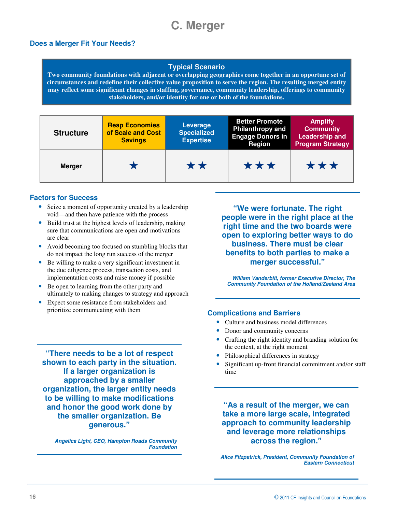## **C. Merger**

#### **Does a Merger Fit Your Needs?**

#### **Typical Scenario**

**Two community foundations with adjacent or overlapping geographies come together in an opportune set of circumstances and redefine their collective value proposition to serve the region. The resulting merged entity may reflect some significant changes in staffing, governance, community leadership, offerings to community stakeholders, and/or identity for one or both of the foundations.** 

| <b>Structure</b> | <b>Reap Economies</b><br>of Scale and Cost<br><b>Savings</b> | Leverage<br><b>Specialized</b><br><b>Expertise</b> | <b>Better Promote</b><br><b>Philanthropy and</b><br><b>Engage Donors in</b><br><b>Region</b> | <b>Amplify</b><br><b>Community</b><br><b>Leadership and</b><br><b>Program Strategy</b> |  |  |
|------------------|--------------------------------------------------------------|----------------------------------------------------|----------------------------------------------------------------------------------------------|----------------------------------------------------------------------------------------|--|--|
| <b>Merger</b>    |                                                              | **                                                 | ***                                                                                          | ***                                                                                    |  |  |

#### **Factors for Success**

- Seize a moment of opportunity created by a leadership void—and then have patience with the process
- Build trust at the highest levels of leadership, making sure that communications are open and motivations are clear
- Avoid becoming too focused on stumbling blocks that do not impact the long run success of the merger
- Be willing to make a very significant investment in the due diligence process, transaction costs, and implementation costs and raise money if possible
- Be open to learning from the other party and ultimately to making changes to strategy and approach
- Expect some resistance from stakeholders and prioritize communicating with them **Complications and Barriers**

**"We were fortunate. The right people were in the right place at the right time and the two boards were open to exploring better ways to do business. There must be clear benefits to both parties to make a merger successful."** 

**William Vanderbilt, former Executive Director, The Community Foundation of the Holland/Zeeland Area** 

- Culture and business model differences
- Donor and community concerns
- Crafting the right identity and branding solution for the context, at the right moment
- Philosophical differences in strategy
- Significant up-front financial commitment and/or staff time

**"As a result of the merger, we can take a more large scale, integrated approach to community leadership and leverage more relationships across the region."** 

**Alice Fitzpatrick, President, Community Foundation of Eastern Connecticut** 

**"There needs to be a lot of respect shown to each party in the situation. If a larger organization is approached by a smaller organization, the larger entity needs to be willing to make modifications and honor the good work done by the smaller organization. Be generous."** 

> **Angelica Light, CEO, Hampton Roads Community Foundation**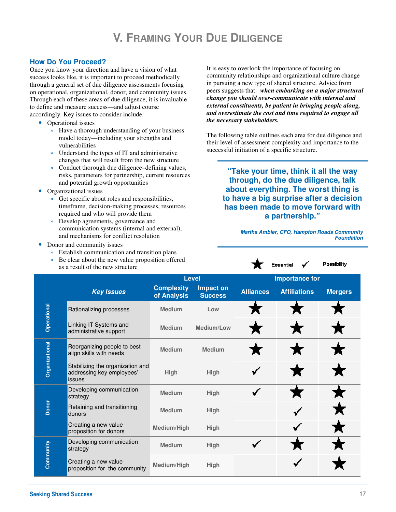## **V. FRAMING YOUR DUE DILIGENCE**

#### **How Do You Proceed?**

Once you know your direction and have a vision of what success looks like, it is important to proceed methodically through a general set of due diligence assessments focusing on operational, organizational, donor, and community issues. Through each of these areas of due diligence, it is invaluable to define and measure success—and adjust course accordingly. Key issues to consider include:

- Operational issues
	- » Have a thorough understanding of your business model today—including your strengths and vulnerabilities
	- » Understand the types of IT and administrative changes that will result from the new structure
	- » Conduct thorough due diligence–defining values, risks, parameters for partnership, current resources and potential growth opportunities
- Organizational issues
	- » Get specific about roles and responsibilities, timeframe, decision-making processes, resources required and who will provide them
	- » Develop agreements, governance and communication systems (internal and external), and mechanisms for conflict resolution
- Donor and community issues
	- » Establish communication and transition plans
	- » Be clear about the new value proposition offered as a result of the new structure

It is easy to overlook the importance of focusing on community relationships and organizational culture change in pursuing a new type of shared structure. Advice from peers suggests that: *when embarking on a major structural change you should over-communicate with internal and external constituents, be patient in bringing people along, and overestimate the cost and time required to engage all the necessary stakeholders.* 

The following table outlines each area for due diligence and their level of assessment complexity and importance to the successful initiation of a specific structure.

> **"Take your time, think it all the way through, do the due diligence, talk about everything. The worst thing is to have a big surprise after a decision has been made to move forward with a partnership."**

> > Essential

**Martha Ambler, CFO, Hampton Roads Community Foundation** 

Possibility

|                | as a result of the new structure                                        |                                  |                             |                  |                       |                |  |
|----------------|-------------------------------------------------------------------------|----------------------------------|-----------------------------|------------------|-----------------------|----------------|--|
|                |                                                                         | <b>Level</b>                     |                             |                  | <b>Importance for</b> |                |  |
|                | <b>Key Issues</b>                                                       | <b>Complexity</b><br>of Analysis | Impact on<br><b>Success</b> | <b>Alliances</b> | <b>Affiliations</b>   | <b>Mergers</b> |  |
|                | Rationalizing processes                                                 | <b>Medium</b>                    | Low                         |                  |                       |                |  |
| Operational    | Linking IT Systems and<br>administrative support                        | <b>Medium</b>                    | Medium/Low                  |                  |                       |                |  |
| Organizational | Reorganizing people to best<br>align skills with needs                  | <b>Medium</b>                    | <b>Medium</b>               |                  |                       |                |  |
|                | Stabilizing the organization and<br>addressing key employees'<br>issues | High                             | High                        |                  |                       |                |  |
|                | Developing communication<br>strategy                                    | <b>Medium</b>                    | High                        | √                |                       |                |  |
| <b>Donor</b>   | Retaining and transitioning<br>donors                                   | <b>Medium</b>                    | <b>High</b>                 |                  |                       |                |  |
|                | Creating a new value<br>proposition for donors                          | Medium/High                      | High                        |                  |                       |                |  |
|                | Developing communication<br>strategy                                    | <b>Medium</b>                    | High                        |                  |                       |                |  |
| Community      | Creating a new value<br>proposition for the community                   | Medium/High                      | <b>High</b>                 |                  |                       |                |  |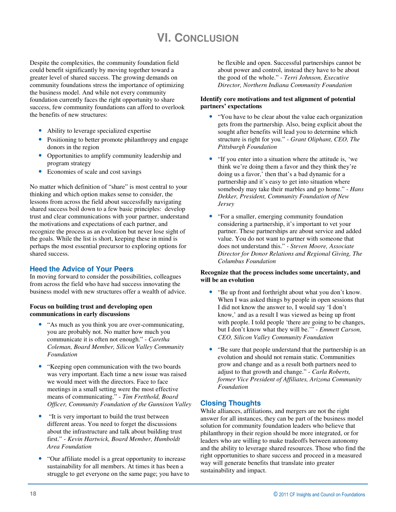## **VI. CONCLUSION**

Despite the complexities, the community foundation field could benefit significantly by moving together toward a greater level of shared success. The growing demands on community foundations stress the importance of optimizing the business model. And while not every community foundation currently faces the right opportunity to share success, few community foundations can afford to overlook the benefits of new structures:

- Ability to leverage specialized expertise
- Positioning to better promote philanthropy and engage donors in the region
- Opportunities to amplify community leadership and program strategy
- Economies of scale and cost savings

No matter which definition of "share" is most central to your thinking and which option makes sense to consider, the lessons from across the field about successfully navigating shared success boil down to a few basic principles: develop trust and clear communications with your partner, understand the motivations and expectations of each partner, and recognize the process as an evolution but never lose sight of the goals. While the list is short, keeping these in mind is perhaps the most essential precursor to exploring options for shared success.

#### **Heed the Advice of Your Peers**

In moving forward to consider the possibilities, colleagues from across the field who have had success innovating the business model with new structures offer a wealth of advice.

#### **Focus on building trust and developing open communications in early discussions**

- "As much as you think you are over-communicating, you are probably not. No matter how much you communicate it is often not enough." - *Caretha Coleman, Board Member, Silicon Valley Community Foundation*
- "Keeping open communication with the two boards" was very important. Each time a new issue was raised we would meet with the directors. Face to face meetings in a small setting were the most effective means of communicating." - *Tim Fretthold, Board Officer, Community Foundation of the Gunnison Valley*
- "It is very important to build the trust between different areas. You need to forget the discussions about the infrastructure and talk about building trust first." - *Kevin Hartwick, Board Member, Humboldt Area Foundation*
- "Our affiliate model is a great opportunity to increase sustainability for all members. At times it has been a struggle to get everyone on the same page; you have to

be flexible and open. Successful partnerships cannot be about power and control, instead they have to be about the good of the whole." - *Terri Johnson, Executive Director, Northern Indiana Community Foundation*

#### **Identify core motivations and test alignment of potential partners' expectations**

- "You have to be clear about the value each organization" gets from the partnership. Also, being explicit about the sought after benefits will lead you to determine which structure is right for you." - *Grant Oliphant, CEO, The Pittsburgh Foundation*
- "If you enter into a situation where the attitude is, 'we think we're doing them a favor and they think they're doing us a favor,' then that's a bad dynamic for a partnership and it's easy to get into situation where somebody may take their marbles and go home." - *Hans Dekker, President, Community Foundation of New Jersey*
- "For a smaller, emerging community foundation considering a partnership, it's important to vet your partner. These partnerships are about service and added value. You do not want to partner with someone that does not understand this." *- Steven Moore, Associate Director for Donor Relations and Regional Giving, The Columbus Foundation*

#### **Recognize that the process includes some uncertainty, and will be an evolution**

- "Be up front and forthright about what you don't know. When I was asked things by people in open sessions that I did not know the answer to, I would say 'I don't know,' and as a result I was viewed as being up front with people. I told people 'there are going to be changes, but I don't know what they will be.'" - *Emmett Carson, CEO, Silicon Valley Community Foundation*
- "Be sure that people understand that the partnership is an evolution and should not remain static. Communities grow and change and as a result both partners need to adjust to that growth and change." - *Carla Roberts, former Vice President of Affiliates, Arizona Community Foundation*

#### **Closing Thoughts**

While alliances, affiliations, and mergers are not the right answer for all instances, they can be part of the business model solution for community foundation leaders who believe that philanthropy in their region should be more integrated, or for leaders who are willing to make tradeoffs between autonomy and the ability to leverage shared resources. Those who find the right opportunities to share success and proceed in a measured way will generate benefits that translate into greater sustainability and impact.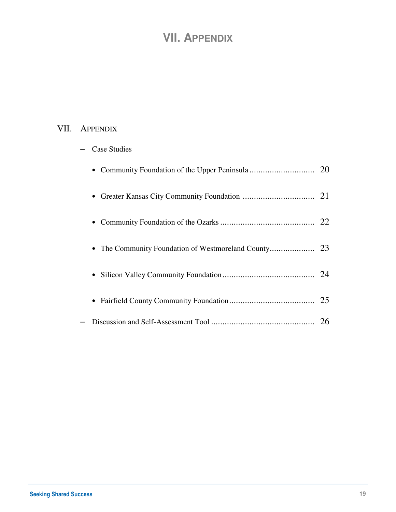## **VII. APPENDIX**

### VII. APPENDIX

| <b>Case Studies</b> |    |
|---------------------|----|
| $\bullet$           |    |
| $\bullet$           |    |
| $\bullet$           |    |
| $\bullet$           |    |
| $\bullet$           |    |
|                     |    |
|                     | 26 |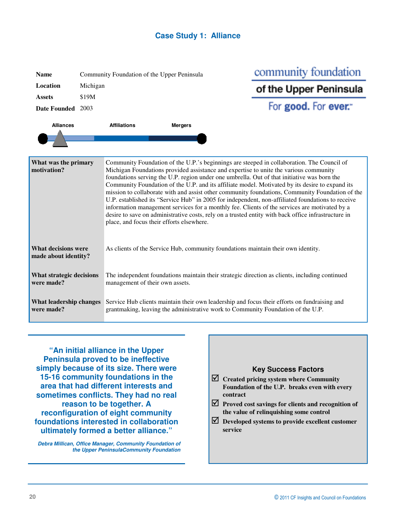

| <b>Name</b>                                                                                                                                                                 |          | Community Foundation of the Upper Peninsula                                                                                                                                                                                                                                                                                                                                                                                                                                              |                |                                                                                                                                                                                  | community foundation                                                              |  |  |  |  |
|-----------------------------------------------------------------------------------------------------------------------------------------------------------------------------|----------|------------------------------------------------------------------------------------------------------------------------------------------------------------------------------------------------------------------------------------------------------------------------------------------------------------------------------------------------------------------------------------------------------------------------------------------------------------------------------------------|----------------|----------------------------------------------------------------------------------------------------------------------------------------------------------------------------------|-----------------------------------------------------------------------------------|--|--|--|--|
| Location                                                                                                                                                                    | Michigan |                                                                                                                                                                                                                                                                                                                                                                                                                                                                                          |                |                                                                                                                                                                                  | of the Upper Peninsula                                                            |  |  |  |  |
| <b>Assets</b>                                                                                                                                                               | \$19M    |                                                                                                                                                                                                                                                                                                                                                                                                                                                                                          |                |                                                                                                                                                                                  |                                                                                   |  |  |  |  |
| Date Founded 2003                                                                                                                                                           |          |                                                                                                                                                                                                                                                                                                                                                                                                                                                                                          |                |                                                                                                                                                                                  | For good. For ever."                                                              |  |  |  |  |
| <b>Alliances</b>                                                                                                                                                            |          | <b>Affiliations</b>                                                                                                                                                                                                                                                                                                                                                                                                                                                                      | <b>Mergers</b> |                                                                                                                                                                                  |                                                                                   |  |  |  |  |
|                                                                                                                                                                             |          |                                                                                                                                                                                                                                                                                                                                                                                                                                                                                          |                |                                                                                                                                                                                  |                                                                                   |  |  |  |  |
|                                                                                                                                                                             |          |                                                                                                                                                                                                                                                                                                                                                                                                                                                                                          |                |                                                                                                                                                                                  |                                                                                   |  |  |  |  |
| What was the primary<br>motivation?                                                                                                                                         |          | Community Foundation of the U.P.'s beginnings are steeped in collaboration. The Council of<br>Michigan Foundations provided assistance and expertise to unite the various community<br>foundations serving the U.P. region under one umbrella. Out of that initiative was born the<br>Community Foundation of the U.P. and its affiliate model. Motivated by its desire to expand its<br>mission to collaborate with and assist other community foundations, Community Foundation of the |                |                                                                                                                                                                                  |                                                                                   |  |  |  |  |
|                                                                                                                                                                             |          | U.P. established its "Service Hub" in 2005 for independent, non-affiliated foundations to receive<br>information management services for a monthly fee. Clients of the services are motivated by a<br>desire to save on administrative costs, rely on a trusted entity with back office infrastructure in<br>place, and focus their efforts elsewhere.                                                                                                                                   |                |                                                                                                                                                                                  |                                                                                   |  |  |  |  |
| <b>What decisions were</b><br>made about identity?                                                                                                                          |          |                                                                                                                                                                                                                                                                                                                                                                                                                                                                                          |                |                                                                                                                                                                                  | As clients of the Service Hub, community foundations maintain their own identity. |  |  |  |  |
| What strategic decisions<br>The independent foundations maintain their strategic direction as clients, including continued<br>were made?<br>management of their own assets. |          |                                                                                                                                                                                                                                                                                                                                                                                                                                                                                          |                |                                                                                                                                                                                  |                                                                                   |  |  |  |  |
| What leadership changes<br>were made?                                                                                                                                       |          |                                                                                                                                                                                                                                                                                                                                                                                                                                                                                          |                | Service Hub clients maintain their own leadership and focus their efforts on fundraising and<br>grantmaking, leaving the administrative work to Community Foundation of the U.P. |                                                                                   |  |  |  |  |

**"An initial alliance in the Upper Peninsula proved to be ineffective simply because of its size. There were 15-16 community foundations in the area that had different interests and sometimes conflicts. They had no real reason to be together. A reconfiguration of eight community foundations interested in collaboration ultimately formed a better alliance."** 

**Debra Millican, Office Manager, Community Foundation of the Upper PeninsulaCommunity Foundation** 

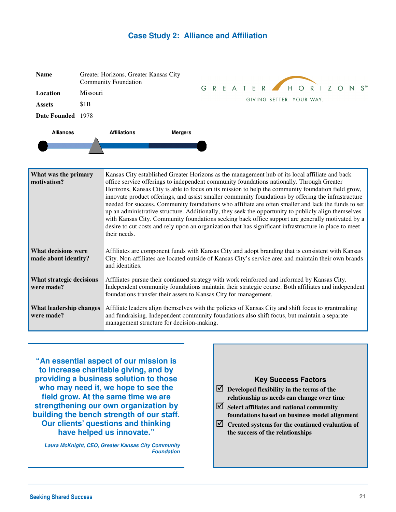#### **Case Study 2: Alliance and Affiliation**

| <b>Name</b>                                                                                                                                                                                                                                                                                                                             | Greater Horizons, Greater Kansas City<br><b>Community Foundation</b> |  |  |  |  |  |  | GREATER HORIZONS         |  |  |
|-----------------------------------------------------------------------------------------------------------------------------------------------------------------------------------------------------------------------------------------------------------------------------------------------------------------------------------------|----------------------------------------------------------------------|--|--|--|--|--|--|--------------------------|--|--|
| Location                                                                                                                                                                                                                                                                                                                                | <b>Missouri</b>                                                      |  |  |  |  |  |  |                          |  |  |
| <b>Assets</b>                                                                                                                                                                                                                                                                                                                           | \$1B                                                                 |  |  |  |  |  |  | GIVING BETTER. YOUR WAY. |  |  |
| Date Founded 1978                                                                                                                                                                                                                                                                                                                       |                                                                      |  |  |  |  |  |  |                          |  |  |
| <b>Alliances</b>                                                                                                                                                                                                                                                                                                                        | <b>Affiliations</b><br><b>Mergers</b>                                |  |  |  |  |  |  |                          |  |  |
| Kansas City established Greater Horizons as the management hub of its local affiliate and back<br>What was the primary<br>motivation?<br>office service offerings to independent community foundations nationally. Through Greater<br>Horizons, Kansas City is able to focus on its mission to help the community foundation field grow |                                                                      |  |  |  |  |  |  |                          |  |  |

| HIVLIVALIVIL:                               | UTILE SCIVICE UTICITIII S IU INGELIALIII COMMUNIII V TURNUAIIONS HAITONAITY. TINUUSII UTCAICI<br>Horizons, Kansas City is able to focus on its mission to help the community foundation field grow,<br>innovate product offerings, and assist smaller community foundations by offering the infrastructure<br>needed for success. Community foundations who affiliate are often smaller and lack the funds to set<br>up an administrative structure. Additionally, they seek the opportunity to publicly align themselves<br>with Kansas City. Community foundations seeking back office support are generally motivated by a<br>desire to cut costs and rely upon an organization that has significant infrastructure in place to meet<br>their needs. |
|---------------------------------------------|---------------------------------------------------------------------------------------------------------------------------------------------------------------------------------------------------------------------------------------------------------------------------------------------------------------------------------------------------------------------------------------------------------------------------------------------------------------------------------------------------------------------------------------------------------------------------------------------------------------------------------------------------------------------------------------------------------------------------------------------------------|
| What decisions were<br>made about identity? | Affiliates are component funds with Kansas City and adopt branding that is consistent with Kansas<br>City. Non-affiliates are located outside of Kansas City's service area and maintain their own brands<br>and identities.                                                                                                                                                                                                                                                                                                                                                                                                                                                                                                                            |
| What strategic decisions<br>were made?      | Affiliates pursue their continued strategy with work reinforced and informed by Kansas City.<br>Independent community foundations maintain their strategic course. Both affiliates and independent<br>foundations transfer their assets to Kansas City for management.                                                                                                                                                                                                                                                                                                                                                                                                                                                                                  |
| What leadership changes<br>were made?       | Affiliate leaders align themselves with the policies of Kansas City and shift focus to grantmaking<br>and fundraising. Independent community foundations also shift focus, but maintain a separate<br>management structure for decision-making.                                                                                                                                                                                                                                                                                                                                                                                                                                                                                                         |

**"An essential aspect of our mission is to increase charitable giving, and by providing a business solution to those who may need it, we hope to see the field grow. At the same time we are strengthening our own organization by building the bench strength of our staff. Our clients' questions and thinking have helped us innovate."** 

**Laura McKnight, CEO, Greater Kansas City Community Foundation** 

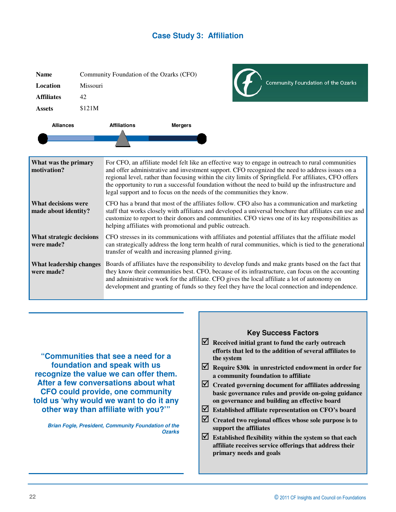#### **Case Study 3: Affiliation**

| <b>Name</b>                                        |          |                     | Community Foundation of the Ozarks (CFO)                                                                                                                                                                                                                            |  |                                                                                                                                                                                                                                                                                                                                                                                                                      |  |  |
|----------------------------------------------------|----------|---------------------|---------------------------------------------------------------------------------------------------------------------------------------------------------------------------------------------------------------------------------------------------------------------|--|----------------------------------------------------------------------------------------------------------------------------------------------------------------------------------------------------------------------------------------------------------------------------------------------------------------------------------------------------------------------------------------------------------------------|--|--|
| Location                                           | Missouri |                     |                                                                                                                                                                                                                                                                     |  | Community Foundation of the Ozarks                                                                                                                                                                                                                                                                                                                                                                                   |  |  |
| <b>Affiliates</b>                                  | 42       |                     |                                                                                                                                                                                                                                                                     |  |                                                                                                                                                                                                                                                                                                                                                                                                                      |  |  |
| <b>Assets</b>                                      | \$121M   |                     |                                                                                                                                                                                                                                                                     |  |                                                                                                                                                                                                                                                                                                                                                                                                                      |  |  |
| <b>Alliances</b>                                   |          | <b>Affiliations</b> | <b>Mergers</b>                                                                                                                                                                                                                                                      |  |                                                                                                                                                                                                                                                                                                                                                                                                                      |  |  |
|                                                    |          |                     |                                                                                                                                                                                                                                                                     |  |                                                                                                                                                                                                                                                                                                                                                                                                                      |  |  |
|                                                    |          |                     |                                                                                                                                                                                                                                                                     |  |                                                                                                                                                                                                                                                                                                                                                                                                                      |  |  |
| What was the primary<br>motivation?                |          |                     | legal support and to focus on the needs of the communities they know.                                                                                                                                                                                               |  | For CFO, an affiliate model felt like an effective way to engage in outreach to rural communities<br>and offer administrative and investment support. CFO recognized the need to address issues on a<br>regional level, rather than focusing within the city limits of Springfield. For affiliates, CFO offers<br>the opportunity to run a successful foundation without the need to build up the infrastructure and |  |  |
| <b>What decisions were</b><br>made about identity? |          |                     | helping affiliates with promotional and public outreach.                                                                                                                                                                                                            |  | CFO has a brand that most of the affiliates follow. CFO also has a communication and marketing<br>staff that works closely with affiliates and developed a universal brochure that affiliates can use and<br>customize to report to their donors and communities. CFO views one of its key responsibilities as                                                                                                       |  |  |
| What strategic decisions<br>were made?             |          |                     | CFO stresses in its communications with affiliates and potential affiliates that the affiliate model<br>can strategically address the long term health of rural communities, which is tied to the generational<br>transfer of wealth and increasing planned giving. |  |                                                                                                                                                                                                                                                                                                                                                                                                                      |  |  |
| <b>What leadership changes</b><br>were made?       |          |                     |                                                                                                                                                                                                                                                                     |  | Boards of affiliates have the responsibility to develop funds and make grants based on the fact that<br>they know their communities best. CFO, because of its infrastructure, can focus on the accounting<br>and administrative work for the affiliate. CFO gives the local affiliate a lot of autonomy on<br>development and granting of funds so they feel they have the local connection and independence.        |  |  |

**"Communities that see a need for a foundation and speak with us recognize the value we can offer them. After a few conversations about what CFO could provide, one community told us 'why would we want to do it any other way than affiliate with you?'"** 

**Brian Fogle, President, Community Foundation of the Ozarks** 

#### **Key Success Factors**  - **Received initial grant to fund the early outreach efforts that led to the addition of several affiliates to the system**

- **Require \$30k in unrestricted endowment in order for a community foundation to affiliate**
- **Created governing document for affiliates addressing basic governance rules and provide on-going guidance on governance and building an effective board**
- **Established affiliate representation on CFO's board**
- **Created two regional offices whose sole purpose is to support the affiliates**
- **Established flexibility within the system so that each affiliate receives service offerings that address their primary needs and goals**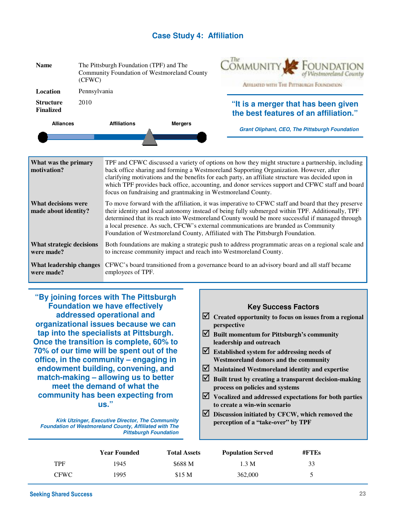#### **Case Study 4: Affiliation**

| The Pittsburgh Foundation (TPF) and The<br><b>Name</b><br>Community Foundation of Westmoreland County<br>(CFWC)                                                                                                                                                                                                                                                                                                                                                                                                                       |              |                                                                                                                                                                                                                                                                                                                                                                                                                                                                     | COMMUNITY.<br>FOUNDATION<br>Анцилиз with The Pittsmugh Foundation                           |                                                                              |  |
|---------------------------------------------------------------------------------------------------------------------------------------------------------------------------------------------------------------------------------------------------------------------------------------------------------------------------------------------------------------------------------------------------------------------------------------------------------------------------------------------------------------------------------------|--------------|---------------------------------------------------------------------------------------------------------------------------------------------------------------------------------------------------------------------------------------------------------------------------------------------------------------------------------------------------------------------------------------------------------------------------------------------------------------------|---------------------------------------------------------------------------------------------|------------------------------------------------------------------------------|--|
| <b>Location</b>                                                                                                                                                                                                                                                                                                                                                                                                                                                                                                                       | Pennsylvania |                                                                                                                                                                                                                                                                                                                                                                                                                                                                     |                                                                                             |                                                                              |  |
| <b>Structure</b><br><b>Finalized</b>                                                                                                                                                                                                                                                                                                                                                                                                                                                                                                  | 2010         |                                                                                                                                                                                                                                                                                                                                                                                                                                                                     |                                                                                             | "It is a merger that has been given<br>the best features of an affiliation." |  |
| <b>Alliances</b>                                                                                                                                                                                                                                                                                                                                                                                                                                                                                                                      |              | <b>Affiliations</b>                                                                                                                                                                                                                                                                                                                                                                                                                                                 | <b>Mergers</b>                                                                              | <b>Grant Oliphant, CEO, The Pittsburgh Foundation</b>                        |  |
|                                                                                                                                                                                                                                                                                                                                                                                                                                                                                                                                       |              |                                                                                                                                                                                                                                                                                                                                                                                                                                                                     |                                                                                             |                                                                              |  |
| What was the primary<br>motivation?                                                                                                                                                                                                                                                                                                                                                                                                                                                                                                   |              | TPF and CFWC discussed a variety of options on how they might structure a partnership, including<br>back office sharing and forming a Westmoreland Supporting Organization. However, after<br>clarifying motivations and the benefits for each party, an affiliate structure was decided upon in<br>which TPF provides back office, accounting, and donor services support and CFWC staff and board<br>focus on fundraising and grantmaking in Westmoreland County. |                                                                                             |                                                                              |  |
| To move forward with the affiliation, it was imperative to CFWC staff and board that they preserve<br><b>What decisions were</b><br>their identity and local autonomy instead of being fully submerged within TPF. Additionally, TPF<br>made about identity?<br>determined that its reach into Westmoreland County would be more successful if managed through<br>a local presence. As such, CFCW's external communications are branded as Community<br>Foundation of Westmoreland County, Affiliated with The Pittsburgh Foundation. |              |                                                                                                                                                                                                                                                                                                                                                                                                                                                                     |                                                                                             |                                                                              |  |
| What strategic decisions<br>were made?                                                                                                                                                                                                                                                                                                                                                                                                                                                                                                |              | Both foundations are making a strategic push to address programmatic areas on a regional scale and<br>to increase community impact and reach into Westmoreland County.                                                                                                                                                                                                                                                                                              |                                                                                             |                                                                              |  |
| <b>What leadership changes</b><br>employees of TPF.<br>were made?                                                                                                                                                                                                                                                                                                                                                                                                                                                                     |              |                                                                                                                                                                                                                                                                                                                                                                                                                                                                     | CFWC's board transitioned from a governance board to an advisory board and all staff became |                                                                              |  |

**"By joining forces with The Pittsburgh Foundation we have effectively addressed operational and organizational issues because we can tap into the specialists at Pittsburgh. Once the transition is complete, 60% to 70% of our time will be spent out of the office, in the community – engaging in endowment building, convening, and match-making – allowing us to better meet the demand of what the community has been expecting from us."** 

**Kirk Utzinger, Executive Director, The Community Foundation of Westmoreland County, Affiliated with The Pittsburgh Foundation** 

#### **Key Success Factors**

- **Created opportunity to focus on issues from a regional perspective**
- **Built momentum for Pittsburgh's community leadership and outreach**
- **Established system for addressing needs of Westmoreland donors and the community**
- **Maintained Westmoreland identity and expertise**
- **Built trust by creating a transparent decision-making process on policies and systems**
- **Vocalized and addressed expectations for both parties to create a win-win scenario**
- **Discussion initiated by CFCW, which removed the perception of a "take-over" by TPF**

|             | <b>Year Founded</b> | <b>Total Assets</b> | <b>Population Served</b> | #FTEs |  |
|-------------|---------------------|---------------------|--------------------------|-------|--|
| <b>TPF</b>  | 1945                | \$688 M             | 1.3 M                    | 33    |  |
| <b>CFWC</b> | 1995                | \$15 <sub>M</sub>   | 362,000                  |       |  |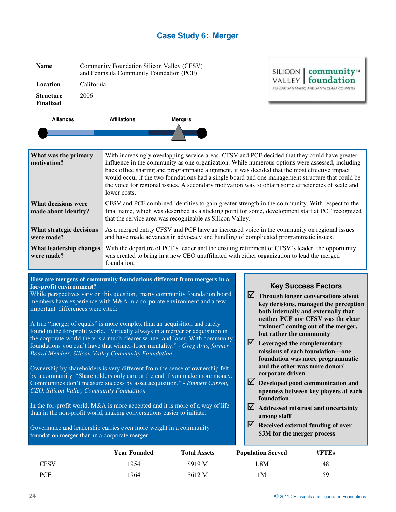#### **Case Study 6: Merger**

| <b>Name</b>                                                                                                                                                                                                                                           | Community Foundation Silicon Valley (CFSV)<br>and Peninsula Community Foundation (PCF) |                                                                                                                                                                                                                                                                                                                                                                                                                                                                                                                              |                | <b>communitys</b><br>SILICON |                                                                |
|-------------------------------------------------------------------------------------------------------------------------------------------------------------------------------------------------------------------------------------------------------|----------------------------------------------------------------------------------------|------------------------------------------------------------------------------------------------------------------------------------------------------------------------------------------------------------------------------------------------------------------------------------------------------------------------------------------------------------------------------------------------------------------------------------------------------------------------------------------------------------------------------|----------------|------------------------------|----------------------------------------------------------------|
| Location                                                                                                                                                                                                                                              | California                                                                             |                                                                                                                                                                                                                                                                                                                                                                                                                                                                                                                              |                |                              | VALLEY<br>tounda<br>SERVING SAN MATEO AND SANTA CLARA COUNTIES |
| <b>Structure</b><br><b>Finalized</b>                                                                                                                                                                                                                  | 2006                                                                                   |                                                                                                                                                                                                                                                                                                                                                                                                                                                                                                                              |                |                              |                                                                |
| <b>Alliances</b>                                                                                                                                                                                                                                      |                                                                                        | <b>Affiliations</b>                                                                                                                                                                                                                                                                                                                                                                                                                                                                                                          | <b>Mergers</b> |                              |                                                                |
|                                                                                                                                                                                                                                                       |                                                                                        |                                                                                                                                                                                                                                                                                                                                                                                                                                                                                                                              |                |                              |                                                                |
| What was the primary<br>motivation?                                                                                                                                                                                                                   |                                                                                        | With increasingly overlapping service areas, CFSV and PCF decided that they could have greater<br>influence in the community as one organization. While numerous options were assessed, including<br>back office sharing and programmatic alignment, it was decided that the most effective impact<br>would occur if the two foundations had a single board and one management structure that could be<br>the voice for regional issues. A secondary motivation was to obtain some efficiencies of scale and<br>lower costs. |                |                              |                                                                |
| <b>What decisions were</b><br>made about identity?                                                                                                                                                                                                    |                                                                                        | CFSV and PCF combined identities to gain greater strength in the community. With respect to the<br>final name, which was described as a sticking point for some, development staff at PCF recognized<br>that the service area was recognizable as Silicon Valley.                                                                                                                                                                                                                                                            |                |                              |                                                                |
| What strategic decisions<br>were made?                                                                                                                                                                                                                |                                                                                        | As a merged entity CFSV and PCF have an increased voice in the community on regional issues<br>and have made advances in advocacy and handling of complicated programmatic issues.                                                                                                                                                                                                                                                                                                                                           |                |                              |                                                                |
| With the departure of PCF's leader and the ensuing retirement of CFSV's leader, the opportunity<br>What leadership changes<br>was created to bring in a new CEO unaffiliated with either organization to lead the merged<br>were made?<br>foundation. |                                                                                        |                                                                                                                                                                                                                                                                                                                                                                                                                                                                                                                              |                |                              |                                                                |

#### **How are mergers of community foundations different from mergers in a for-profit environment?**

While perspectives vary on this question, many community foundation board members have experience with M&A in a corporate environment and a few important differences were cited:

A true "merger of equals" is more complex than an acquisition and rarely found in the for-profit world. "Virtually always in a merger or acquisition in the corporate world there is a much clearer winner and loser. With community foundations you can't have that winner-loser mentality." - *Greg Avis, former Board Member, Silicon Valley Community Foundation* 

Ownership by shareholders is very different from the sense of ownership felt by a community. "Shareholders only care at the end if you make more money. Communities don't measure success by asset acquisition." - *Emmett Carson, CEO, Silicon Valley Community Foundation*

In the for-profit world, M&A is more accepted and it is more of a way of life than in the non-profit world, making conversations easier to initiate.

Governance and leadership carries even more weight in a community foundation merger than in a corporate merger.

#### **Key Success Factors**

- **Through longer conversations about key decisions, managed the perception both internally and externally that neither PCF nor CFSV was the clear "winner" coming out of the merger, but rather the community**
- **Leveraged the complementary missions of each foundation—one foundation was more programmatic and the other was more donor/ corporate driven**
- **Developed good communication and openness between key players at each foundation**
- **Addressed mistrust and uncertainty among staff**
- **Received external funding of over \$3M for the merger process**

|      | <b>Year Founded</b> | <b>Total Assets</b> | <b>Population Served</b> | $#$ FTEs |  |
|------|---------------------|---------------------|--------------------------|----------|--|
| CFSV | 1954                | \$919 M             | 1.8M                     | 48       |  |
| PCF  | 1964                | \$612 M             | ıм                       | 59       |  |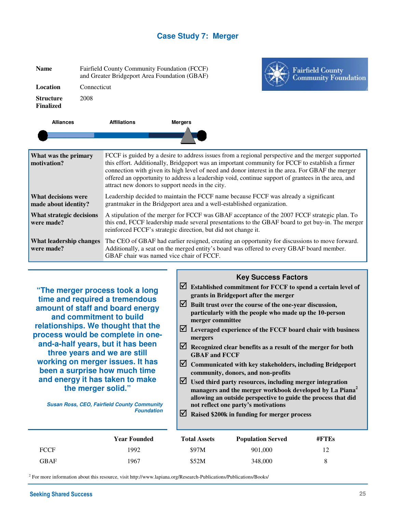#### **Case Study 7: Merger**

| <b>Name</b>                                  | Fairfield County Community Foundation (FCCF)<br>and Greater Bridgeport Area Foundation (GBAF)<br>Connecticut |                                                                                                                                                                                                                                                                   |                                                  | <b>Fairfield County<br/>Community Foundation</b>                                                                                                                                                                                                                                                                                                                                                               |  |
|----------------------------------------------|--------------------------------------------------------------------------------------------------------------|-------------------------------------------------------------------------------------------------------------------------------------------------------------------------------------------------------------------------------------------------------------------|--------------------------------------------------|----------------------------------------------------------------------------------------------------------------------------------------------------------------------------------------------------------------------------------------------------------------------------------------------------------------------------------------------------------------------------------------------------------------|--|
| Location                                     |                                                                                                              |                                                                                                                                                                                                                                                                   |                                                  |                                                                                                                                                                                                                                                                                                                                                                                                                |  |
| <b>Structure</b><br><b>Finalized</b>         | 2008                                                                                                         |                                                                                                                                                                                                                                                                   |                                                  |                                                                                                                                                                                                                                                                                                                                                                                                                |  |
| <b>Alliances</b>                             |                                                                                                              | <b>Affiliations</b>                                                                                                                                                                                                                                               | <b>Mergers</b>                                   |                                                                                                                                                                                                                                                                                                                                                                                                                |  |
|                                              |                                                                                                              |                                                                                                                                                                                                                                                                   |                                                  |                                                                                                                                                                                                                                                                                                                                                                                                                |  |
| What was the primary<br>motivation?          |                                                                                                              |                                                                                                                                                                                                                                                                   | attract new donors to support needs in the city. | FCCF is guided by a desire to address issues from a regional perspective and the merger supported<br>this effort. Additionally, Bridgeport was an important community for FCCF to establish a firmer<br>connection with given its high level of need and donor interest in the area. For GBAF the merger<br>offered an opportunity to address a leadership void, continue support of grantees in the area, and |  |
| What decisions were<br>made about identity?  |                                                                                                              | Leadership decided to maintain the FCCF name because FCCF was already a significant<br>grantmaker in the Bridgeport area and a well-established organization.                                                                                                     |                                                  |                                                                                                                                                                                                                                                                                                                                                                                                                |  |
| What strategic decisions<br>were made?       |                                                                                                              | A stipulation of the merger for FCCF was GBAF acceptance of the 2007 FCCF strategic plan. To<br>this end, FCCF leadership made several presentations to the GBAF board to get buy-in. The merger<br>reinforced FCCF's strategic direction, but did not change it. |                                                  |                                                                                                                                                                                                                                                                                                                                                                                                                |  |
| <b>What leadership changes</b><br>were made? |                                                                                                              | The CEO of GBAF had earlier resigned, creating an opportunity for discussions to move forward.<br>Additionally, a seat on the merged entity's board was offered to every GBAF board member.<br>GBAF chair was named vice chair of FCCF.                           |                                                  |                                                                                                                                                                                                                                                                                                                                                                                                                |  |

**"The merger process took a long time and required a tremendous amount of staff and board energy and commitment to build relationships. We thought that the process would be complete in oneand-a-half years, but it has been three years and we are still working on merger issues. It has been a surprise how much time and energy it has taken to make the merger solid."** 

**Susan Ross, CEO, Fairfield County Community Foundation** 

#### **Key Success Factors**

- **Established commitment for FCCF to spend a certain level of grants in Bridgeport after the merger**
- **Built trust over the course of the one-year discussion, particularly with the people who made up the 10-person merger committee**
- **Leveraged experience of the FCCF board chair with business mergers**
- **Recognized clear benefits as a result of the merger for both GBAF and FCCF**
- **Communicated with key stakeholders, including Bridgeport community, donors, and non-profits**
- **Used third party resources, including merger integration managers and the merger workbook developed by La Piana<sup>2</sup> allowing an outside perspective to guide the process that did not reflect one party's motivations**
- **Raised \$200k in funding for merger process**

|      | <b>Year Founded</b> | <b>Total Assets</b> | <b>Population Served</b> | $\#$ FTEs |  |
|------|---------------------|---------------------|--------------------------|-----------|--|
| FCCF | 1992                | \$97M               | 901,000                  | 12        |  |
| GBAF | 1967                | \$52M               | 348,000                  | 8         |  |

<sup>2</sup> For more information about this resource, visit http://www.lapiana.org/Research-Publications/Publications/Books/

dation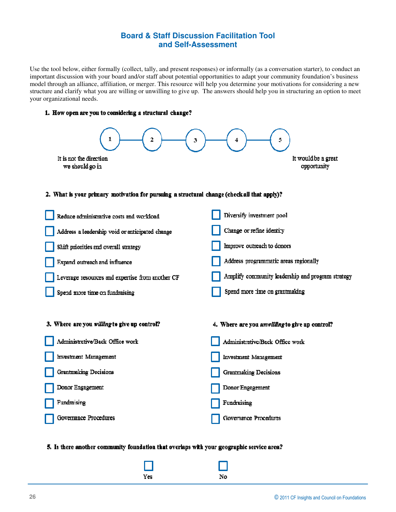#### **Board & Staff Discussion Facilitation Tool and Self-Assessment**

Use the tool below, either formally (collect, tally, and present responses) or informally (as a conversation starter), to conduct an important discussion with your board and/or staff about potential opportunities to adapt your community foundation's business model through an alliance, affiliation, or merger. This resource will help you determine your motivations for considering a new structure and clarify what you are willing or unwilling to give up. The answers should help you in structuring an option to meet your organizational needs.

#### 1. How open are you to considering a structural change?



#### 5. Is there another community foundation that overlaps with your geographic service area?

 $No$ 

Yes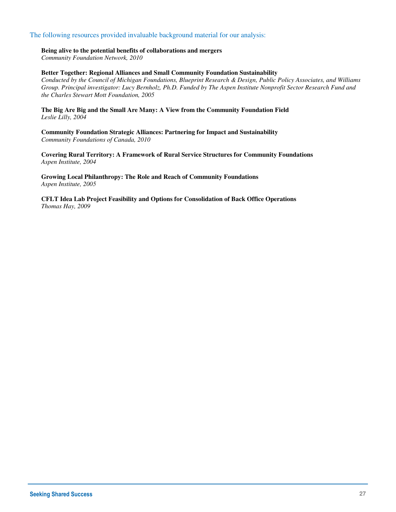#### The following resources provided invaluable background material for our analysis:

#### **Being alive to the potential benefits of collaborations and mergers**

*Community Foundation Network, 2010* 

#### **Better Together: Regional Alliances and Small Community Foundation Sustainability**

*Conducted by the Council of Michigan Foundations, Blueprint Research & Design, Public Policy Associates, and Williams Group. Principal investigator: Lucy Bernholz, Ph.D. Funded by The Aspen Institute Nonprofit Sector Research Fund and the Charles Stewart Mott Foundation, 2005* 

**The Big Are Big and the Small Are Many: A View from the Community Foundation Field**  *Leslie Lilly, 2004* 

**Community Foundation Strategic Alliances: Partnering for Impact and Sustainability**  *Community Foundations of Canada, 2010*

**Covering Rural Territory: A Framework of Rural Service Structures for Community Foundations**  *Aspen Institute, 2004* 

**Growing Local Philanthropy: The Role and Reach of Community Foundations**  *Aspen Institute, 2005* 

**CFLT Idea Lab Project Feasibility and Options for Consolidation of Back Office Operations**  *Thomas Hay, 2009*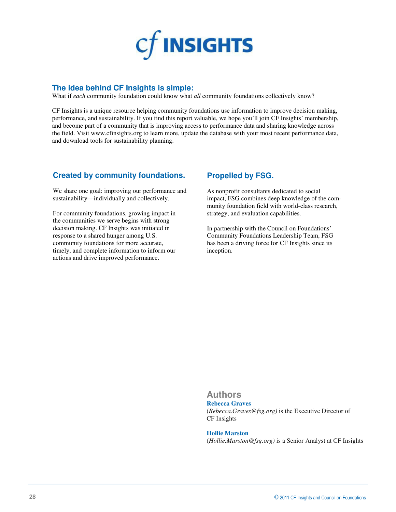

#### **The idea behind CF Insights is simple:**

What if *each* community foundation could know what *all* community foundations collectively know?

CF Insights is a unique resource helping community foundations use information to improve decision making, performance, and sustainability. If you find this report valuable, we hope you'll join CF Insights' membership, and become part of a community that is improving access to performance data and sharing knowledge across the field. Visit www.cfinsights.org to learn more, update the database with your most recent performance data, and download tools for sustainability planning.

#### **Created by community foundations.**

We share one goal: improving our performance and sustainability—individually and collectively.

For community foundations, growing impact in the communities we serve begins with strong decision making. CF Insights was initiated in response to a shared hunger among U.S. community foundations for more accurate, timely, and complete information to inform our actions and drive improved performance.

#### **Propelled by FSG.**

As nonprofit consultants dedicated to social impact, FSG combines deep knowledge of the community foundation field with world-class research, strategy, and evaluation capabilities.

In partnership with the Council on Foundations' Community Foundations Leadership Team, FSG has been a driving force for CF Insights since its inception.

#### **Authors**

#### **Rebecca Graves**

(*Rebecca.Graves@fsg.org)* is the Executive Director of CF Insights

#### **Hollie Marston**

(*Hollie.Marston@fsg.org)* is a Senior Analyst at CF Insights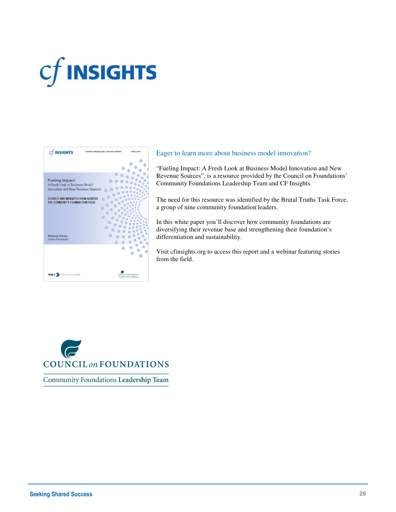# $cf$  INSIGHTS



#### Eager to learn more about business model innovation?

"Fueling Impact: A Fresh Look at Business Model Innovation and New Revenue Sources", is a resource provided by the Council on Foundations' Community Foundations Leadership Team and CF Insights.

The need for this resource was identified by the Brutal Truths Task Force, a group of nine community foundation leaders.

In this white paper you'll discover how community foundations are diversifying their revenue base and strengthening their foundation's differentiation and sustainability.

Visit cfinsights.org to access this report and a webinar featuring stories from the field.



Community Foundations Leadership Team